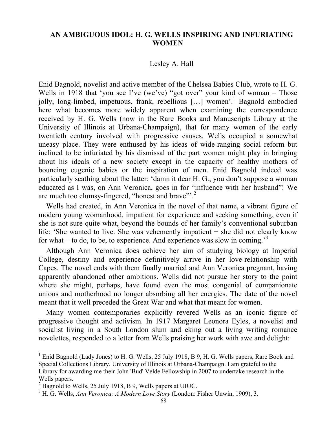## **AN AMBIGUOUS IDOL: H. G. WELLS INSPIRING AND INFURIATING WOMEN**

## Lesley A. Hall

Enid Bagnold, novelist and active member of the Chelsea Babies Club, wrote to H. G. Wells in 1918 that 'you see I've (we've) "got over" your kind of woman – Those jolly, long-limbed, impetuous, frank, rebellious [...] women<sup>''</sup>. Bagnold embodied here what becomes more widely apparent when examining the correspondence received by H. G. Wells (now in the Rare Books and Manuscripts Library at the University of Illinois at Urbana-Champaign), that for many women of the early twentieth century involved with progressive causes, Wells occupied a somewhat uneasy place. They were enthused by his ideas of wide-ranging social reform but inclined to be infuriated by his dismissal of the part women might play in bringing about his ideals of a new society except in the capacity of healthy mothers of bouncing eugenic babies or the inspiration of men. Enid Bagnold indeed was particularly scathing about the latter: 'damn it dear H. G., you don't suppose a woman educated as I was, on Ann Veronica, goes in for "influence with her husband"! We are much too clumsy-fingered, "honest and brave"<sup>2</sup>.

Wells had created, in Ann Veronica in the novel of that name, a vibrant figure of modern young womanhood, impatient for experience and seeking something, even if she is not sure quite what, beyond the bounds of her family's conventional suburban life: 'She wanted to live. She was vehemently impatient − she did not clearly know for what − to do, to be, to experience. And experience was slow in coming.'<sup>3</sup>

Although Ann Veronica does achieve her aim of studying biology at Imperial College, destiny and experience definitively arrive in her love-relationship with Capes. The novel ends with them finally married and Ann Veronica pregnant, having apparently abandoned other ambitions. Wells did not pursue her story to the point where she might, perhaps, have found even the most congenial of companionate unions and motherhood no longer absorbing all her energies. The date of the novel meant that it well preceded the Great War and what that meant for women.

Many women contemporaries explicitly revered Wells as an iconic figure of progressive thought and activism. In 1917 Margaret Leonora Eyles, a novelist and socialist living in a South London slum and eking out a living writing romance novelettes, responded to a letter from Wells praising her work with awe and delight:

<sup>&</sup>lt;sup>1</sup> Enid Bagnold (Lady Jones) to H. G. Wells, 25 July 1918, B 9, H. G. Wells papers, Rare Book and Special Collections Library, University of Illinois at Urbana-Champaign. I am grateful to the Library for awarding me their John 'Bud' Velde Fellowship in 2007 to undertake research in the Wells papers.<br><sup>2</sup> Bagnold to Wells, 25 July 1918, B 9, Wells papers at UIUC.

<sup>&</sup>lt;sup>3</sup> H. G. Wells, *Ann Veronica: A Modern Love Story (London: Fisher Unwin, 1909), 3.*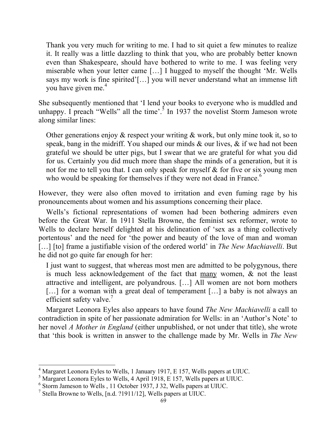Thank you very much for writing to me. I had to sit quiet a few minutes to realize it. It really was a little dazzling to think that you, who are probably better known even than Shakespeare, should have bothered to write to me. I was feeling very miserable when your letter came […] I hugged to myself the thought 'Mr. Wells says my work is fine spirited'[…] you will never understand what an immense lift you have given me.<sup>4</sup>

She subsequently mentioned that 'I lend your books to everyone who is muddled and unhappy. I preach "Wells" all the time'.<sup>5</sup> In 1937 the novelist Storm Jameson wrote along similar lines:

Other generations enjoy & respect your writing & work, but only mine took it, so to speak, bang in the midriff. You shaped our minds & our lives, & if we had not been grateful we should be utter pigs, but I swear that we are grateful for what you did for us. Certainly you did much more than shape the minds of a generation, but it is not for me to tell you that. I can only speak for myself & for five or six young men who would be speaking for themselves if they were not dead in France.<sup>6</sup>

However, they were also often moved to irritation and even fuming rage by his pronouncements about women and his assumptions concerning their place.

Wells's fictional representations of women had been bothering admirers even before the Great War. In 1911 Stella Browne, the feminist sex reformer, wrote to Wells to declare herself delighted at his delineation of 'sex as a thing collectively portentous' and the need for 'the power and beauty of the love of man and woman [...] [to] frame a justifiable vision of the ordered world' in *The New Machiavelli*. But he did not go quite far enough for her:

I just want to suggest, that whereas most men are admitted to be polygynous, there is much less acknowledgement of the fact that many women, & not the least attractive and intelligent, are polyandrous. […] All women are not born mothers [...] for a woman with a great deal of temperament [...] a baby is not always an efficient safety valve.<sup>7</sup>

Margaret Leonora Eyles also appears to have found *The New Machiavelli* a call to contradiction in spite of her passionate admiration for Wells: in an 'Author's Note' to her novel *A Mother in England* (either unpublished, or not under that title), she wrote that 'this book is written in answer to the challenge made by Mr. Wells in *The New* 

 $<sup>4</sup>$  Margaret Leonora Eyles to Wells, 1 January 1917, E 157, Wells papers at UIUC.</sup>

<sup>5</sup> Margaret Leonora Eyles to Wells, 4 April 1918, E 157, Wells papers at UIUC.

<sup>6</sup> Storm Jameson to Wells , 11 October 1937, J 32, Wells papers at UIUC.

<sup>7</sup> Stella Browne to Wells, [n.d. ?1911/12], Wells papers at UIUC.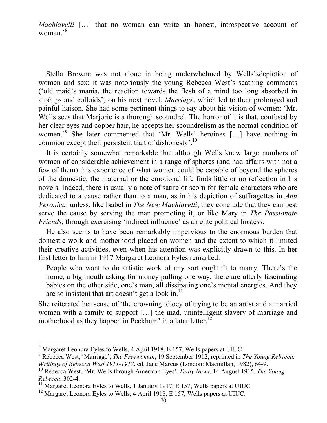*Machiavelli* [...] that no woman can write an honest, introspective account of woman.'<sup>8</sup>

Stella Browne was not alone in being underwhelmed by Wells'sdepiction of women and sex: it was notoriously the young Rebecca West's scathing comments ('old maid's mania, the reaction towards the flesh of a mind too long absorbed in airships and colloids') on his next novel, *Marriage*, which led to their prolonged and painful liaison. She had some pertinent things to say about his vision of women: 'Mr. Wells sees that Marjorie is a thorough scoundrel. The horror of it is that, confused by her clear eyes and copper hair, he accepts her scoundrelism as the normal condition of women.'<sup>9</sup> She later commented that 'Mr. Wells' heroines [...] have nothing in common except their persistent trait of dishonesty'.10

It is certainly somewhat remarkable that although Wells knew large numbers of women of considerable achievement in a range of spheres (and had affairs with not a few of them) this experience of what women could be capable of beyond the spheres of the domestic, the maternal or the emotional life finds little or no reflection in his novels. Indeed, there is usually a note of satire or scorn for female characters who are dedicated to a cause rather than to a man, as in his depiction of suffragettes in *Ann Veronica*: unless, like Isabel in *The New Machiavelli*, they conclude that they can best serve the cause by serving the man promoting it, or like Mary in *The Passionate Friends*, through exercising 'indirect influence' as an elite political hostess.

He also seems to have been remarkably impervious to the enormous burden that domestic work and motherhood placed on women and the extent to which it limited their creative activities, even when his attention was explicitly drawn to this. In her first letter to him in 1917 Margaret Leonora Eyles remarked:

People who want to do artistic work of any sort oughtn't to marry. There's the home, a big mouth asking for money pulling one way, there are utterly fascinating babies on the other side, one's man, all dissipating one's mental energies. And they are so insistent that art doesn't get a look in.<sup>1</sup>

She reiterated her sense of 'the crowning idiocy of trying to be an artist and a married woman with a family to support […] the mad, unintelligent slavery of marriage and motherhood as they happen in Peckham' in a later letter.<sup>12</sup>

 <sup>8</sup> Margaret Leonora Eyles to Wells, 4 April 1918, E 157, Wells papers at UIUC

<sup>9</sup> Rebecca West, 'Marriage', *The Freewoman*, 19 September 1912, reprinted in *The Young Rebecca: Writings of Rebecca West 1911-1917*, ed. Jane Marcus (London: Macmillan, 1982), 64-9.

<sup>10</sup> Rebecca West, 'Mr. Wells through American Eyes', *Daily News*, 14 August 1915, *The Young Rebecca*, 302-4.

<sup>&</sup>lt;sup>11</sup> Margaret Leonora Eyles to Wells, 1 January 1917, E 157, Wells papers at UIUC

<sup>&</sup>lt;sup>12</sup> Margaret Leonora Eyles to Wells, 4 April 1918, E 157, Wells papers at UIUC.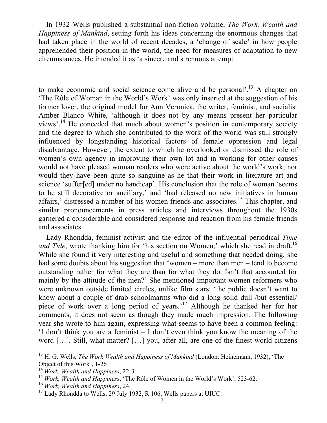In 1932 Wells published a substantial non-fiction volume, *The Work, Wealth and Happiness of Mankind*, setting forth his ideas concerning the enormous changes that had taken place in the world of recent decades, a 'change of scale' in how people apprehended their position in the world, the need for measures of adaptation to new circumstances. He intended it as 'a sincere and strenuous attempt

to make economic and social science come alive and be personal'.13 A chapter on 'The Rôle of Woman in the World's Work' was only inserted at the suggestion of his former lover, the original model for Ann Veronica, the writer, feminist, and socialist Amber Blanco White, 'although it does not by any means present her particular views'.<sup>14</sup> He conceded that much about women's position in contemporary society and the degree to which she contributed to the work of the world was still strongly influenced by longstanding historical factors of female oppression and legal disadvantage. However, the extent to which he overlooked or dismissed the role of women's own agency in improving their own lot and in working for other causes would not have pleased woman readers who were active about the world's work; nor would they have been quite so sanguine as he that their work in literature art and science 'suffer[ed] under no handicap'. His conclusion that the role of woman 'seems to be still decorative or ancillary,' and 'had released no new initiatives in human affairs,' distressed a number of his women friends and associates.15 This chapter, and similar pronouncements in press articles and interviews throughout the 1930s garnered a considerable and considered response and reaction from his female friends and associates.

Lady Rhondda, feminist activist and the editor of the influential periodical *Time and Tide*, wrote thanking him for 'his section on Women,' which she read in draft.<sup>16</sup> While she found it very interesting and useful and something that needed doing, she had some doubts about his suggestion that 'women – more than men – tend to become outstanding rather for what they are than for what they do. Isn't that accounted for mainly by the attitude of the men?' She mentioned important women reformers who were unknown outside limited circles, unlike film stars: 'the public doesn't want to know about a couple of drab schoolmarms who did a long solid dull /but essential/ piece of work over a long period of years.<sup>'17</sup> Although he thanked her for her comments, it does not seem as though they made much impression. The following year she wrote to him again, expressing what seems to have been a common feeling: 'I don't think you are a feminist – I don't even think you know the meaning of the word […]. Still, what matter? […] you, after all, are one of the finest world citizens

<sup>&</sup>lt;sup>13</sup> H. G. Wells, *The Work Wealth and Happiness of Mankind* (London: Heinemann, 1932), 'The Object of this Work', 1-26

<sup>14</sup> *Work, Wealth and Happiness*, 22-3.

<sup>15</sup> *Work, Wealth and Happiness*, 'The Rôle of Women in the World's Work', 523-62.

<sup>16</sup> *Work, Wealth and Happiness*, 24.

 $17$  Lady Rhondda to Wells, 29 July 1932, R 106, Wells papers at UIUC.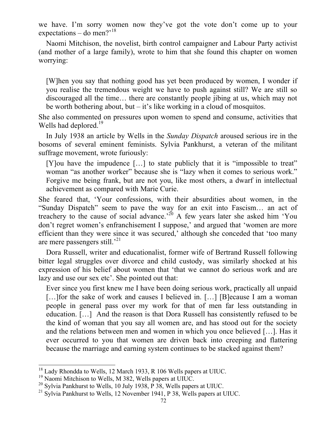we have. I'm sorry women now they've got the vote don't come up to your expectations – do men?<sup>'18</sup>

Naomi Mitchison, the novelist, birth control campaigner and Labour Party activist (and mother of a large family), wrote to him that she found this chapter on women worrying:

[W]hen you say that nothing good has yet been produced by women, I wonder if you realise the tremendous weight we have to push against still? We are still so discouraged all the time… there are constantly people jibing at us, which may not be worth bothering about, but – it's like working in a cloud of mosquitos.

She also commented on pressures upon women to spend and consume, activities that Wells had deplored.<sup>19</sup>

In July 1938 an article by Wells in the *Sunday Dispatch* aroused serious ire in the bosoms of several eminent feminists. Sylvia Pankhurst, a veteran of the militant suffrage movement, wrote furiously:

[Y]ou have the impudence […] to state publicly that it is "impossible to treat" woman "as another worker" because she is "lazy when it comes to serious work." Forgive me being frank, but are not you, like most others, a dwarf in intellectual achievement as compared with Marie Curie.

She feared that, 'Your confessions, with their absurdities about women, in the "Sunday Dispatch" seem to pave the way for an exit into Fascism… an act of treachery to the cause of social advance.<sup>20</sup> A few years later she asked him 'You don't regret women's enfranchisement I suppose,' and argued that 'women are more efficient than they were since it was secured,' although she conceded that 'too many are mere passengers still.'<sup>21</sup>

Dora Russell, writer and educationalist, former wife of Bertrand Russell following bitter legal struggles over divorce and child custody, was similarly shocked at his expression of his belief about women that 'that we cannot do serious work and are lazy and use our sex etc'. She pointed out that:

Ever since you first knew me I have been doing serious work, practically all unpaid […]for the sake of work and causes I believed in. […] [B]ecause I am a woman people in general pass over my work for that of men far less outstanding in education. […] And the reason is that Dora Russell has consistently refused to be the kind of woman that you say all women are, and has stood out for the society and the relations between men and women in which you once believed […]. Has it ever occurred to you that women are driven back into creeping and flattering because the marriage and earning system continues to be stacked against them?

<sup>&</sup>lt;sup>18</sup> Lady Rhondda to Wells, 12 March 1933, R 106 Wells papers at UIUC.<br><sup>19</sup> Naomi Mitchison to Wells, M 382, Wells papers at UIUC.

<sup>&</sup>lt;sup>20</sup> Sylvia Pankhurst to Wells, 10 July 1938, P 38, Wells papers at UIUC.

<sup>&</sup>lt;sup>21</sup> Sylvia Pankhurst to Wells, 12 November 1941, P 38, Wells papers at UIUC.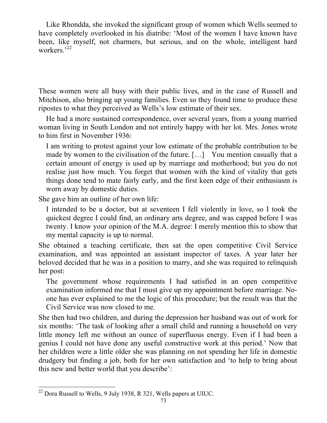Like Rhondda, she invoked the significant group of women which Wells seemed to have completely overlooked in his diatribe: 'Most of the women I have known have been, like myself, not charmers, but serious, and on the whole, intelligent hard workers.<sup>'22</sup>

These women were all busy with their public lives, and in the case of Russell and Mitchison, also bringing up young families. Even so they found time to produce these ripostes to what they perceived as Wells's low estimate of their sex.

He had a more sustained correspondence, over several years, from a young married woman living in South London and not entirely happy with her lot. Mrs. Jones wrote to him first in November 1936:

I am writing to protest against your low estimate of the probable contribution to be made by women to the civilisation of the future. […] You mention casually that a certain amount of energy is used up by marriage and motherhood; but you do not realise just how much. You forget that women with the kind of vitality that gets things done tend to mate fairly early, and the first keen edge of their enthusiasm is worn away by domestic duties.

She gave him an outline of her own life:

I intended to be a doctor, but at seventeen I fell violently in love, so I took the quickest degree I could find, an ordinary arts degree, and was capped before I was twenty. I know your opinion of the M.A. degree: I merely mention this to show that my mental capacity is up to normal.

She obtained a teaching certificate, then sat the open competitive Civil Service examination, and was appointed an assistant inspector of taxes. A year later her beloved decided that he was in a position to marry, and she was required to relinquish her post:

The government whose requirements I had satisfied in an open competitive examination informed me that I must give up my appointment before marriage. Noone has ever explained to me the logic of this procedure; but the result was that the Civil Service was now closed to me.

She then had two children, and during the depression her husband was out of work for six months: 'The task of looking after a small child and running a household on very little money left me without an ounce of superfluous energy. Even if I had been a genius I could not have done any useful constructive work at this period.' Now that her children were a little older she was planning on not spending her life in domestic drudgery but finding a job, both for her own satisfaction and 'to help to bring about this new and better world that you describe':

 $22$  Dora Russell to Wells, 9 July 1938, R 321, Wells papers at UIUC.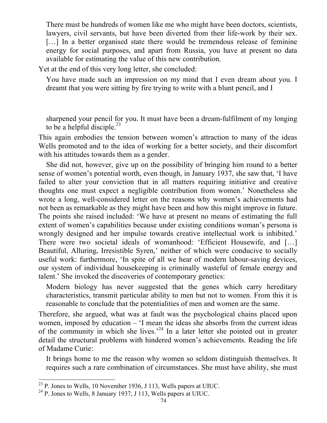There must be hundreds of women like me who might have been doctors, scientists, lawyers, civil servants, but have been diverted from their life-work by their sex. [...] In a better organised state there would be tremendous release of feminine energy for social purposes, and apart from Russia, you have at present no data available for estimating the value of this new contribution.

Yet at the end of this very long letter, she concluded:

You have made such an impression on my mind that I even dream about you. I dreamt that you were sitting by fire trying to write with a blunt pencil, and I

sharpened your pencil for you. It must have been a dream-fulfilment of my longing to be a helpful disciple. $^{23}$ 

This again embodies the tension between women's attraction to many of the ideas Wells promoted and to the idea of working for a better society, and their discomfort with his attitudes towards them as a gender.

She did not, however, give up on the possibility of bringing him round to a better sense of women's potential worth, even though, in January 1937, she saw that, 'I have failed to alter your conviction that in all matters requiring initiative and creative thoughts one must expect a negligible contribution from women.' Nonetheless she wrote a long, well-considered letter on the reasons why women's achievements had not been as remarkable as they might have been and how this might improve in future. The points she raised included: 'We have at present no means of estimating the full extent of women's capabilities because under existing conditions woman's persona is wrongly designed and her impulse towards creative intellectual work is inhibited.' There were two societal ideals of womanhood: 'Efficient Housewife, and […] Beautiful, Alluring, Irresistible Syren,' neither of which were conducive to socially useful work: furthermore, 'In spite of all we hear of modern labour-saving devices, our system of individual housekeeping is criminally wasteful of female energy and talent.' She invoked the discoveries of contemporary genetics:

Modern biology has never suggested that the genes which carry hereditary characteristics, transmit particular ability to men but not to women. From this it is reasonable to conclude that the potentialities of men and women are the same.

Therefore, she argued, what was at fault was the psychological chains placed upon women, imposed by education – 'I mean the ideas she absorbs from the current ideas of the community in which she lives.<sup> $24$ </sup> In a later letter she pointed out in greater detail the structural problems with hindered women's achievements. Reading the life of Madame Curie:

It brings home to me the reason why women so seldom distinguish themselves. It requires such a rare combination of circumstances. She must have ability, she must

 $^{23}$  P. Jones to Wells, 10 November 1936, J 113, Wells papers at UIUC.

<sup>24</sup> P. Jones to Wells, 8 January 1937, J 113, Wells papers at UIUC.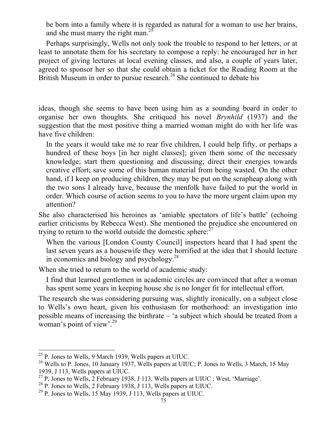be born into a family where it is regarded as natural for a woman to use her brains, and she must marry the right man.<sup>2</sup>

Perhaps surprisingly, Wells not only took the trouble to respond to her letters, or at least to annotate them for his secretary to compose a reply: he encouraged her in her project of giving lectures at local evening classes, and also, a couple of years later, agreed to sponsor her so that she could obtain a ticket for the Reading Room at the British Museum in order to pursue research.<sup>26</sup> She continued to debate his

ideas, though she seems to have been using him as a sounding board in order to organise her own thoughts. She critiqued his novel *Brynhild* (1937) and the suggestion that the most positive thing a married woman might do with her life was have five children:

In the years it would take me to rear five children, I could help fifty, or perhaps a hundred of these boys [in her night classes]; given them some of the necessary knowledge; start them questioning and discussing; direct their energies towards creative effort; save some of this human material from being wasted. On the other hand, if I keep on producing children, they may be put on the scrapheap along with the two sons I already have, because the menfolk have failed to put the world in order. Which course of action seems to you to have the more urgent claim upon my attention?

She also characterised his heroines as 'amiable spectators of life's battle' (echoing earlier criticisms by Rebecca West). She mentioned the prejudice she encountered on trying to return to the world outside the domestic sphere: $27$ 

When the various [London County Council] inspectors heard that I had spent the last seven years as a housewife they were horrified at the idea that I should lecture in economics and biology and psychology.28

When she tried to return to the world of academic study:

I find that learned gentlemen in academic circles are convinced that after a woman has spent some years in keeping house she is no longer fit for intellectual effort.

The research she was considering pursuing was, slightly ironically, on a subject close to Wells's own heart, given his enthusiasm for motherhood: an investigation into possible means of increasing the birthrate – 'a subject which should be treated from a woman's point of view'. $^{29}$ 

 <sup>25</sup> P. Jones to Wells, 9 March 1939, Wells papers at UIUC.

<sup>&</sup>lt;sup>26</sup> Wells to P. Jones, 10 January 1937, Wells papers at UIUC; P. Jones to Wells, 3 March, 15 May 1939, J 113, Wells papers at UIUC.

 $^{27}$  P. Jones to Wells, 2 February 1938, J 113, Wells papers at UIUC; West, 'Marriage'.

 $^{28}$  P. Jones to Wells, 2 February 1938, J 113, Wells papers at UIUC.

 $29$  P. Jones to Wells, 15 May 1939, J 113, Wells papers at UIUC.